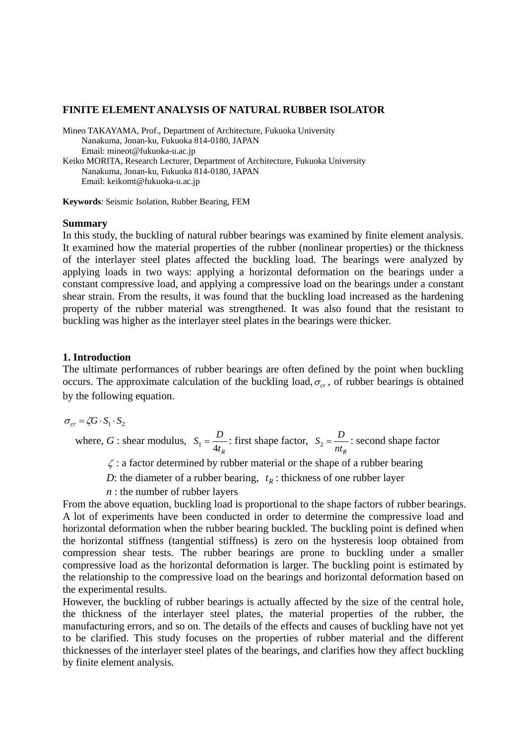### **FINITE ELEMENT ANALYSIS OF NATURAL RUBBER ISOLATOR**

Mineo TAKAYAMA, Prof., Department of Architecture, Fukuoka University Nanakuma, Jonan-ku, Fukuoka 814-0180, JAPAN Email: mineot@fukuoka-u.ac.jp Keiko MORITA, Research Lecturer, Department of Architecture, Fukuoka University Nanakuma, Jonan-ku, Fukuoka 814-0180, JAPAN

Email: keikomt@fukuoka-u.ac.jp

**Keywords**: Seismic Isolation, Rubber Bearing, FEM

#### **Summary**

In this study, the buckling of natural rubber bearings was examined by finite element analysis. It examined how the material properties of the rubber (nonlinear properties) or the thickness of the interlayer steel plates affected the buckling load. The bearings were analyzed by applying loads in two ways: applying a horizontal deformation on the bearings under a constant compressive load, and applying a compressive load on the bearings under a constant shear strain. From the results, it was found that the buckling load increased as the hardening property of the rubber material was strengthened. It was also found that the resistant to buckling was higher as the interlayer steel plates in the bearings were thicker.

### **1. Introduction**

The ultimate performances of rubber bearings are often defined by the point when buckling occurs. The approximate calculation of the buckling load,  $\sigma_{cr}$ , of rubber bearings is obtained by the following equation.

 $\sigma_{cr} = \zeta G \cdot S_1 \cdot S_2$ 

where, *G* : shear modulus, *Rt*  $S_1 = \frac{D}{4t_R}$ : first shape factor,  $S_2 = \frac{D}{nt_R}$ : second shape factor

ζ : a factor determined by rubber material or the shape of a rubber bearing

*D*: the diameter of a rubber bearing,  $t_R$ : thickness of one rubber layer

*n* : the number of rubber layers

From the above equation, buckling load is proportional to the shape factors of rubber bearings. A lot of experiments have been conducted in order to determine the compressive load and horizontal deformation when the rubber bearing buckled. The buckling point is defined when the horizontal stiffness (tangential stiffness) is zero on the hysteresis loop obtained from compression shear tests. The rubber bearings are prone to buckling under a smaller compressive load as the horizontal deformation is larger. The buckling point is estimated by the relationship to the compressive load on the bearings and horizontal deformation based on the experimental results.

However, the buckling of rubber bearings is actually affected by the size of the central hole, the thickness of the interlayer steel plates, the material properties of the rubber, the manufacturing errors, and so on. The details of the effects and causes of buckling have not yet to be clarified. This study focuses on the properties of rubber material and the different thicknesses of the interlayer steel plates of the bearings, and clarifies how they affect buckling by finite element analysis.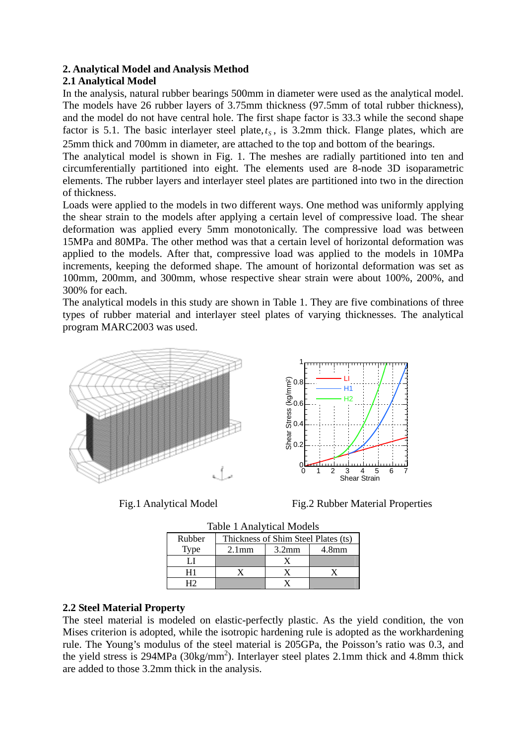## **2. Analytical Model and Analysis Method**

# **2.1 Analytical Model**

In the analysis, natural rubber bearings 500mm in diameter were used as the analytical model. The models have 26 rubber layers of 3.75mm thickness (97.5mm of total rubber thickness), and the model do not have central hole. The first shape factor is 33.3 while the second shape factor is 5.1. The basic interlayer steel plate, $t_s$ , is 3.2mm thick. Flange plates, which are 25mm thick and 700mm in diameter, are attached to the top and bottom of the bearings.

The analytical model is shown in Fig. 1. The meshes are radially partitioned into ten and circumferentially partitioned into eight. The elements used are 8-node 3D isoparametric elements. The rubber layers and interlayer steel plates are partitioned into two in the direction of thickness.

Loads were applied to the models in two different ways. One method was uniformly applying the shear strain to the models after applying a certain level of compressive load. The shear deformation was applied every 5mm monotonically. The compressive load was between 15MPa and 80MPa. The other method was that a certain level of horizontal deformation was applied to the models. After that, compressive load was applied to the models in 10MPa increments, keeping the deformed shape. The amount of horizontal deformation was set as 100mm, 200mm, and 300mm, whose respective shear strain were about 100%, 200%, and 300% for each.

The analytical models in this study are shown in Table 1. They are five combinations of three types of rubber material and interlayer steel plates of varying thicknesses. The analytical program MARC2003 was used.





Fig.1 Analytical Model Fig.2 Rubber Material Properties

| <b>Table 1 Analytical Models</b> |                                     |                   |  |  |  |
|----------------------------------|-------------------------------------|-------------------|--|--|--|
| Rubber                           | Thickness of Shim Steel Plates (ts) |                   |  |  |  |
| Type                             | 2.1 <sub>mm</sub>                   | 4.8 <sub>mm</sub> |  |  |  |
|                                  |                                     |                   |  |  |  |
| Η1                               |                                     |                   |  |  |  |
| பி                               |                                     |                   |  |  |  |

## **2.2 Steel Material Property**

The steel material is modeled on elastic-perfectly plastic. As the yield condition, the von Mises criterion is adopted, while the isotropic hardening rule is adopted as the workhardening rule. The Young's modulus of the steel material is 205GPa, the Poisson's ratio was 0.3, and the yield stress is 294MPa ( $30\text{kg/mm}^2$ ). Interlayer steel plates 2.1mm thick and 4.8mm thick are added to those 3.2mm thick in the analysis.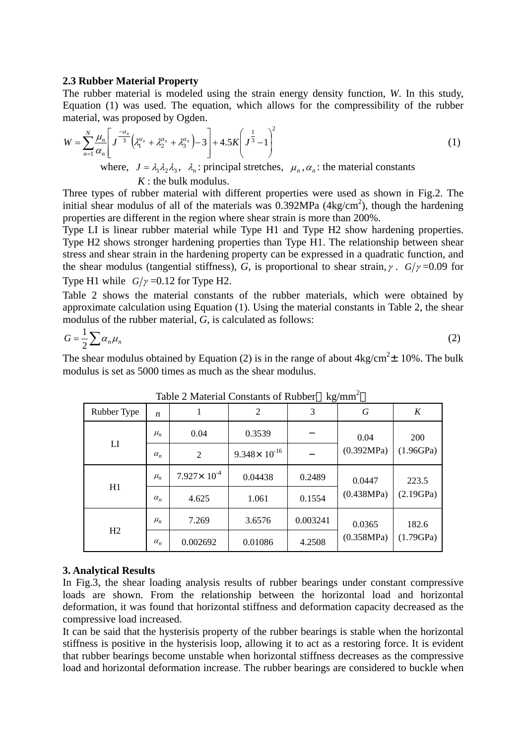### **2.3 Rubber Material Property**

The rubber material is modeled using the strain energy density function, *W*. In this study, Equation (1) was used. The equation, which allows for the compressibility of the rubber material, was proposed by Ogden.

$$
W = \sum_{n=1}^{N} \frac{\mu_n}{\alpha_n} \left[ J^{\frac{-\alpha_n}{3}} \left( \lambda_1^{\alpha_n} + \lambda_2^{\alpha_n} + \lambda_3^{\alpha_n} \right) - 3 \right] + 4.5K \left( J^{\frac{1}{3}} - 1 \right)^2
$$
  
where,  $J = \lambda_1 \lambda_2 \lambda_3$ ,  $\lambda_n$ : principal stretches,  $\mu_n$ ,  $\alpha_n$ : the material constants

*K* : the bulk modulus.

Three types of rubber material with different properties were used as shown in Fig.2. The initial shear modulus of all of the materials was  $0.392MPa$  (4kg/cm<sup>2</sup>), though the hardening properties are different in the region where shear strain is more than 200%.

Type LI is linear rubber material while Type H1 and Type H2 show hardening properties. Type H2 shows stronger hardening properties than Type H1. The relationship between shear stress and shear strain in the hardening property can be expressed in a quadratic function, and the shear modulus (tangential stiffness), *G*, is proportional to shear strain,  $\gamma$ . *G*/ $\gamma$ =0.09 for Type H1 while  $G/\gamma = 0.12$  for Type H2.

Table 2 shows the material constants of the rubber materials, which were obtained by approximate calculation using Equation (1). Using the material constants in Table 2, the shear modulus of the rubber material, *G*, is calculated as follows:

$$
G = \frac{1}{2} \sum \alpha_n \mu_n \tag{2}
$$

The shear modulus obtained by Equation (2) is in the range of about  $4kg/cm^2 \pm 10\%$ . The bulk modulus is set as 5000 times as much as the shear modulus.

| Rubber Type    | n          | 1                      | $\overline{2}$<br>3     |          | G           | $K_{\rm}$          |
|----------------|------------|------------------------|-------------------------|----------|-------------|--------------------|
| LI             | $\mu_n$    | 0.04                   | 0.3539                  |          | 0.04        | 200                |
|                | $\alpha_n$ | $\overline{2}$         | $9.348 \times 10^{-16}$ |          | (0.392MPa)  | (1.96GPa)          |
| H1             | $\mu_n$    | $7.927 \times 10^{-4}$ | 0.04438                 | 0.2489   | 0.0447      | 223.5<br>(2.19GPa) |
|                | $\alpha_n$ | 4.625                  | 1.061                   | 0.1554   | (0.438 MPa) |                    |
| H <sub>2</sub> | $\mu_n$    | 7.269                  | 3.6576                  | 0.003241 | 0.0365      | 182.6<br>(1.79GPa) |
|                | $\alpha_n$ | 0.002692               | 0.01086                 | 4.2508   | (0.358MPa)  |                    |

Table 2 Material Constants of Rubber  $kg/mm^2$ 

### **3. Analytical Results**

In Fig.3, the shear loading analysis results of rubber bearings under constant compressive loads are shown. From the relationship between the horizontal load and horizontal deformation, it was found that horizontal stiffness and deformation capacity decreased as the compressive load increased.

It can be said that the hysterisis property of the rubber bearings is stable when the horizontal stiffness is positive in the hysterisis loop, allowing it to act as a restoring force. It is evident that rubber bearings become unstable when horizontal stiffness decreases as the compressive load and horizontal deformation increase. The rubber bearings are considered to buckle when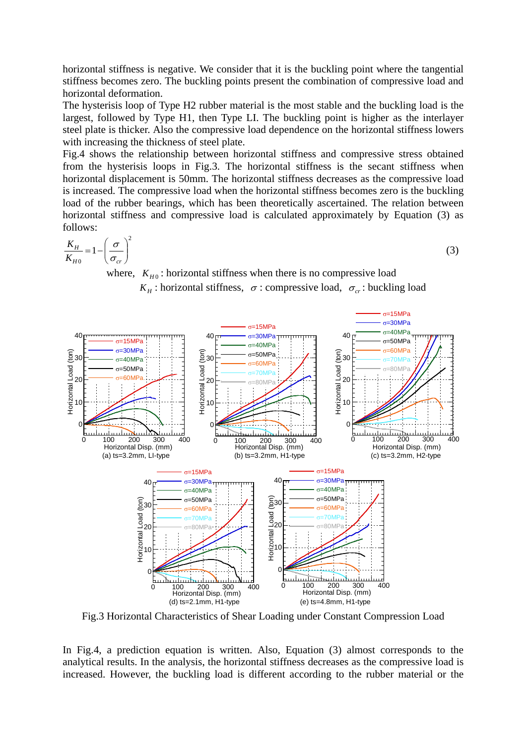horizontal stiffness is negative. We consider that it is the buckling point where the tangential stiffness becomes zero. The buckling points present the combination of compressive load and horizontal deformation.

The hysterisis loop of Type H2 rubber material is the most stable and the buckling load is the largest, followed by Type H1, then Type LI. The buckling point is higher as the interlayer steel plate is thicker. Also the compressive load dependence on the horizontal stiffness lowers with increasing the thickness of steel plate.

Fig.4 shows the relationship between horizontal stiffness and compressive stress obtained from the hysterisis loops in Fig.3. The horizontal stiffness is the secant stiffness when horizontal displacement is 50mm. The horizontal stiffness decreases as the compressive load is increased. The compressive load when the horizontal stiffness becomes zero is the buckling load of the rubber bearings, which has been theoretically ascertained. The relation between horizontal stiffness and compressive load is calculated approximately by Equation (3) as follows:

$$
\frac{K_H}{K_{H0}} = 1 - \left(\frac{\sigma}{\sigma_{cr}}\right)^2 \tag{3}
$$

where,  $K_{H0}$ : horizontal stiffness when there is no compressive load

*K<sub>H</sub>* : horizontal stiffness,  $\sigma$  : compressive load,  $\sigma_{cr}$  : buckling load



Fig.3 Horizontal Characteristics of Shear Loading under Constant Compression Load

In Fig.4, a prediction equation is written. Also, Equation (3) almost corresponds to the analytical results. In the analysis, the horizontal stiffness decreases as the compressive load is increased. However, the buckling load is different according to the rubber material or the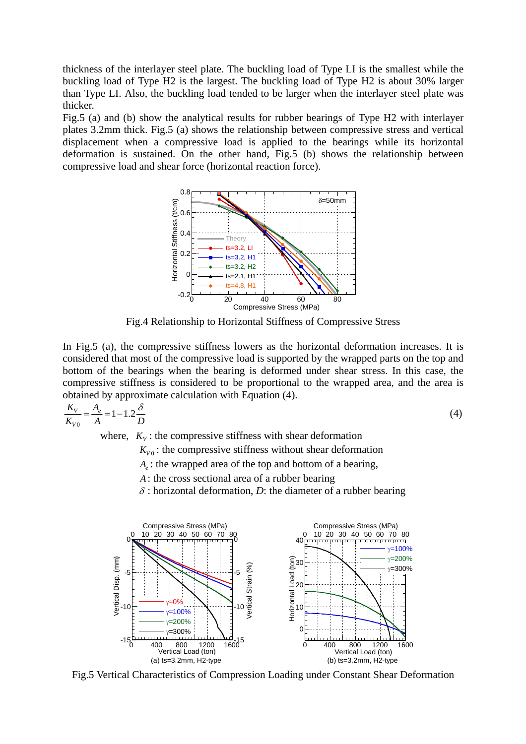thickness of the interlayer steel plate. The buckling load of Type LI is the smallest while the buckling load of Type H2 is the largest. The buckling load of Type H2 is about 30% larger than Type LI. Also, the buckling load tended to be larger when the interlayer steel plate was thicker.

Fig.5 (a) and (b) show the analytical results for rubber bearings of Type H2 with interlayer plates 3.2mm thick. Fig.5 (a) shows the relationship between compressive stress and vertical displacement when a compressive load is applied to the bearings while its horizontal deformation is sustained. On the other hand, Fig.5 (b) shows the relationship between compressive load and shear force (horizontal reaction force).



Fig.4 Relationship to Horizontal Stiffness of Compressive Stress

In Fig.5 (a), the compressive stiffness lowers as the horizontal deformation increases. It is considered that most of the compressive load is supported by the wrapped parts on the top and bottom of the bearings when the bearing is deformed under shear stress. In this case, the compressive stiffness is considered to be proportional to the wrapped area, and the area is obtained by approximate calculation with Equation (4).

$$
\frac{K_V}{K_{V0}} = \frac{A_e}{A} = 1 - 1.2 \frac{\delta}{D}
$$
 (4)

where,  $K_V$ : the compressive stiffness with shear deformation

 $K_{V0}$ : the compressive stiffness without shear deformation

*A<sub>a</sub>*: the wrapped area of the top and bottom of a bearing,

- *A*: the cross sectional area of a rubber bearing
- $\delta$ : horizontal deformation, *D*: the diameter of a rubber bearing



Fig.5 Vertical Characteristics of Compression Loading under Constant Shear Deformation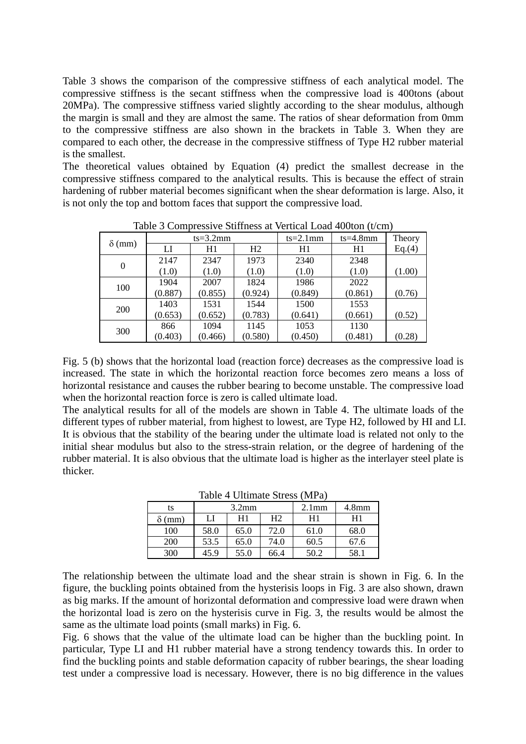Table 3 shows the comparison of the compressive stiffness of each analytical model. The compressive stiffness is the secant stiffness when the compressive load is 400tons (about 20MPa). The compressive stiffness varied slightly according to the shear modulus, although the margin is small and they are almost the same. The ratios of shear deformation from 0mm to the compressive stiffness are also shown in the brackets in Table 3. When they are compared to each other, the decrease in the compressive stiffness of Type H2 rubber material is the smallest.

The theoretical values obtained by Equation (4) predict the smallest decrease in the compressive stiffness compared to the analytical results. This is because the effect of strain hardening of rubber material becomes significant when the shear deformation is large. Also, it is not only the top and bottom faces that support the compressive load.

| $\delta$ (mm) | $ts = 3.2mm$ |         |         | $ts = 2.1$ mm | $ts = 4.8mm$ | Theory |
|---------------|--------------|---------|---------|---------------|--------------|--------|
|               | LI           | H1      | H2      | H1            | H1           | Eq.(4) |
| $\theta$      | 2147         | 2347    | 1973    | 2340          | 2348         |        |
|               | (1.0)        | (1.0)   | (1.0)   | (1.0)         | (1.0)        | (1.00) |
| 100           | 1904         | 2007    | 1824    | 1986          | 2022         |        |
|               | (0.887)      | (0.855) | (0.924) | (0.849)       | (0.861)      | (0.76) |
| 200           | 1403         | 1531    | 1544    | 1500          | 1553         |        |
|               | (0.653)      | (0.652) | (0.783) | (0.641)       | (0.661)      | (0.52) |
| 300           | 866          | 1094    | 1145    | 1053          | 1130         |        |
|               | (0.403)      | (0.466) | (0.580) | (0.450)       | (0.481)      | (0.28) |

Table 3 Compressive Stiffness at Vertical Load 400ton (t/cm)

Fig. 5 (b) shows that the horizontal load (reaction force) decreases as the compressive load is increased. The state in which the horizontal reaction force becomes zero means a loss of horizontal resistance and causes the rubber bearing to become unstable. The compressive load when the horizontal reaction force is zero is called ultimate load.

The analytical results for all of the models are shown in Table 4. The ultimate loads of the different types of rubber material, from highest to lowest, are Type H2, followed by HI and LI. It is obvious that the stability of the bearing under the ultimate load is related not only to the initial shear modulus but also to the stress-strain relation, or the degree of hardening of the rubber material. It is also obvious that the ultimate load is higher as the interlayer steel plate is thicker.

| ts            | $3.2$ mm |      |      | 2.1 <sub>mm</sub> | 4.8 <sub>mm</sub> |
|---------------|----------|------|------|-------------------|-------------------|
| $\delta$ (mm) | LI       | H1   | Η2   | H1                | H1                |
| 100           | 58.0     | 65.0 | 72.0 | 61.0              | 68.0              |
| 200           | 53.5     | 65.0 | 74.0 | 60.5              | 67.6              |
| 300           | 45.9     | 55.0 | 66.4 | 50.2              | 58.1              |

Table 4 Ultimate Stress (MPa)

The relationship between the ultimate load and the shear strain is shown in Fig. 6. In the figure, the buckling points obtained from the hysterisis loops in Fig. 3 are also shown, drawn as big marks. If the amount of horizontal deformation and compressive load were drawn when the horizontal load is zero on the hysterisis curve in Fig. 3, the results would be almost the same as the ultimate load points (small marks) in Fig. 6.

Fig. 6 shows that the value of the ultimate load can be higher than the buckling point. In particular, Type LI and H1 rubber material have a strong tendency towards this. In order to find the buckling points and stable deformation capacity of rubber bearings, the shear loading test under a compressive load is necessary. However, there is no big difference in the values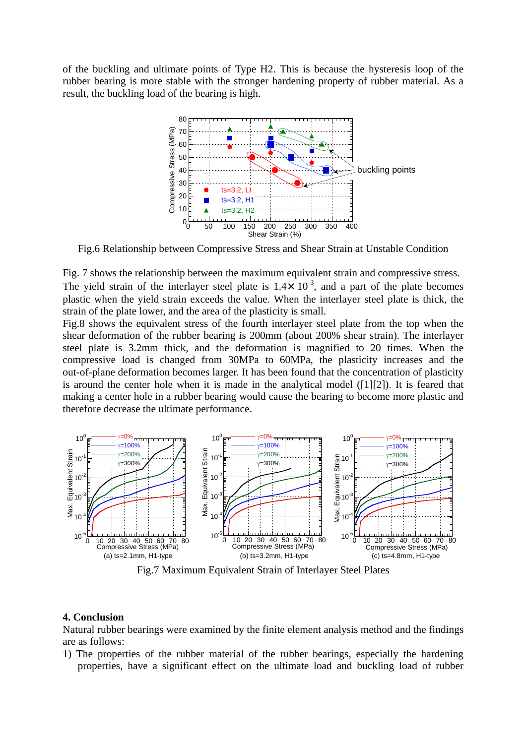of the buckling and ultimate points of Type H2. This is because the hysteresis loop of the rubber bearing is more stable with the stronger hardening property of rubber material. As a result, the buckling load of the bearing is high.



Fig.6 Relationship between Compressive Stress and Shear Strain at Unstable Condition

Fig. 7 shows the relationship between the maximum equivalent strain and compressive stress. The yield strain of the interlayer steel plate is  $1.4\times 10^{-3}$ , and a part of the plate becomes plastic when the yield strain exceeds the value. When the interlayer steel plate is thick, the strain of the plate lower, and the area of the plasticity is small.

Fig.8 shows the equivalent stress of the fourth interlayer steel plate from the top when the shear deformation of the rubber bearing is 200mm (about 200% shear strain). The interlayer steel plate is 3.2mm thick, and the deformation is magnified to 20 times. When the compressive load is changed from 30MPa to 60MPa, the plasticity increases and the out-of-plane deformation becomes larger. It has been found that the concentration of plasticity is around the center hole when it is made in the analytical model ([1][2]). It is feared that making a center hole in a rubber bearing would cause the bearing to become more plastic and therefore decrease the ultimate performance.



Fig.7 Maximum Equivalent Strain of Interlayer Steel Plates

### **4. Conclusion**

Natural rubber bearings were examined by the finite element analysis method and the findings are as follows:

1) The properties of the rubber material of the rubber bearings, especially the hardening properties, have a significant effect on the ultimate load and buckling load of rubber